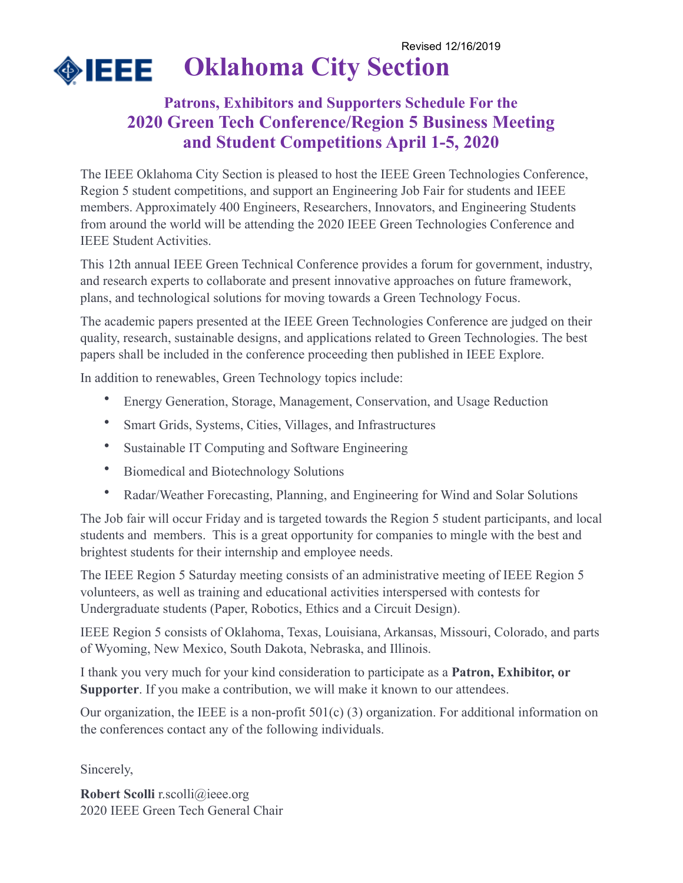

### **Patrons, Exhibitors and Supporters Schedule For the 2020 Green Tech Conference/Region 5 Business Meeting and Student Competitions April 1-5, 2020**

The IEEE Oklahoma City Section is pleased to host the IEEE Green Technologies Conference, Region 5 student competitions, and support an Engineering Job Fair for students and IEEE members. Approximately 400 Engineers, Researchers, Innovators, and Engineering Students from around the world will be attending the 2020 IEEE Green Technologies Conference and IEEE Student Activities.

This 12th annual IEEE Green Technical Conference provides a forum for government, industry, and research experts to collaborate and present innovative approaches on future framework, plans, and technological solutions for moving towards a Green Technology Focus.

The academic papers presented at the IEEE Green Technologies Conference are judged on their quality, research, sustainable designs, and applications related to Green Technologies. The best papers shall be included in the conference proceeding then published in IEEE Explore.

In addition to renewables, Green Technology topics include:

- Energy Generation, Storage, Management, Conservation, and Usage Reduction
- Smart Grids, Systems, Cities, Villages, and Infrastructures
- Sustainable IT Computing and Software Engineering
- Biomedical and Biotechnology Solutions
- Radar/Weather Forecasting, Planning, and Engineering for Wind and Solar Solutions

The Job fair will occur Friday and is targeted towards the Region 5 student participants, and local students and members. This is a great opportunity for companies to mingle with the best and brightest students for their internship and employee needs.

The IEEE Region 5 Saturday meeting consists of an administrative meeting of IEEE Region 5 volunteers, as well as training and educational activities interspersed with contests for Undergraduate students (Paper, Robotics, Ethics and a Circuit Design).

IEEE Region 5 consists of Oklahoma, Texas, Louisiana, Arkansas, Missouri, Colorado, and parts of Wyoming, New Mexico, South Dakota, Nebraska, and Illinois.

I thank you very much for your kind consideration to participate as a **Patron, Exhibitor, or Supporter**. If you make a contribution, we will make it known to our attendees.

Our organization, the IEEE is a non-profit 501(c) (3) organization. For additional information on the conferences contact any of the following individuals.

Sincerely,

**Robert Scolli** r.scolli@ieee.org 2020 IEEE Green Tech General Chair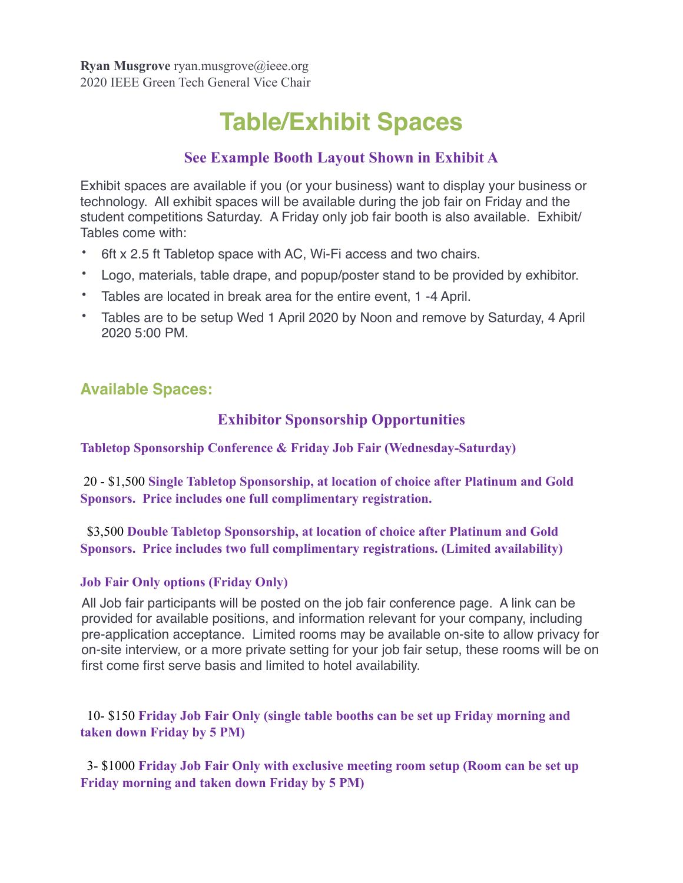# **Table/Exhibit Spaces**

### **See Example Booth Layout Shown in Exhibit A**

Exhibit spaces are available if you (or your business) want to display your business or technology. All exhibit spaces will be available during the job fair on Friday and the student competitions Saturday. A Friday only job fair booth is also available. Exhibit/ Tables come with:

- 6ft x 2.5 ft Tabletop space with AC, Wi-Fi access and two chairs.
- Logo, materials, table drape, and popup/poster stand to be provided by exhibitor.
- Tables are located in break area for the entire event, 1 -4 April.
- Tables are to be setup Wed 1 April 2020 by Noon and remove by Saturday, 4 April 2020 5:00 PM.

### **Available Spaces:**

### **Exhibitor Sponsorship Opportunities**

**Tabletop Sponsorship Conference & Friday Job Fair (Wednesday-Saturday)** 

 20 - \$1,500 **Single Tabletop Sponsorship, at location of choice after Platinum and Gold Sponsors. Price includes one full complimentary registration.** 

 \$3,500 **Double Tabletop Sponsorship, at location of choice after Platinum and Gold Sponsors. Price includes two full complimentary registrations. (Limited availability)** 

#### **Job Fair Only options (Friday Only)**

All Job fair participants will be posted on the job fair conference page. A link can be provided for available positions, and information relevant for your company, including pre-application acceptance. Limited rooms may be available on-site to allow privacy for on-site interview, or a more private setting for your job fair setup, these rooms will be on first come first serve basis and limited to hotel availability.

 10- \$150 **Friday Job Fair Only (single table booths can be set up Friday morning and taken down Friday by 5 PM)** 

 3- \$1000 **Friday Job Fair Only with exclusive meeting room setup (Room can be set up Friday morning and taken down Friday by 5 PM)**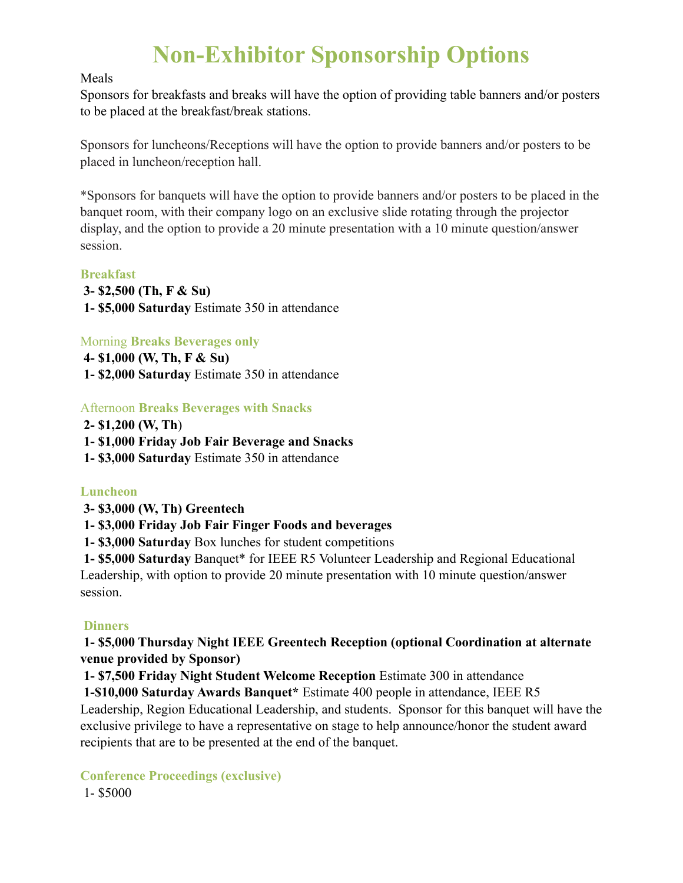# **Non-Exhibitor Sponsorship Options**

#### Meals

Sponsors for breakfasts and breaks will have the option of providing table banners and/or posters to be placed at the breakfast/break stations.

Sponsors for luncheons/Receptions will have the option to provide banners and/or posters to be placed in luncheon/reception hall.

\*Sponsors for banquets will have the option to provide banners and/or posters to be placed in the banquet room, with their company logo on an exclusive slide rotating through the projector display, and the option to provide a 20 minute presentation with a 10 minute question/answer session.

#### **Breakfast**

- **3- \$2,500 (Th, F & Su)**
- **1- \$5,000 Saturday** Estimate 350 in attendance

Morning **Breaks Beverages only**

**4- \$1,000 (W, Th, F & Su) 1- \$2,000 Saturday** Estimate 350 in attendance

#### Afternoon **Breaks Beverages with Snacks**

- **2- \$1,200 (W, Th**)
- **1- \$1,000 Friday Job Fair Beverage and Snacks**
- **1- \$3,000 Saturday** Estimate 350 in attendance

#### **Luncheon**

- **3- \$3,000 (W, Th) Greentech**
- **1- \$3,000 Friday Job Fair Finger Foods and beverages**
- **1- \$3,000 Saturday** Box lunches for student competitions

 **1- \$5,000 Saturday** Banquet\* for IEEE R5 Volunteer Leadership and Regional Educational Leadership, with option to provide 20 minute presentation with 10 minute question/answer session.

#### **Dinners**

#### **1- \$5,000 Thursday Night IEEE Greentech Reception (optional Coordination at alternate venue provided by Sponsor)**

 **1- \$7,500 Friday Night Student Welcome Reception** Estimate 300 in attendance

 **1-\$10,000 Saturday Awards Banquet\*** Estimate 400 people in attendance, IEEE R5 Leadership, Region Educational Leadership, and students. Sponsor for this banquet will have the exclusive privilege to have a representative on stage to help announce/honor the student award recipients that are to be presented at the end of the banquet.

**Conference Proceedings (exclusive)**

1- \$5000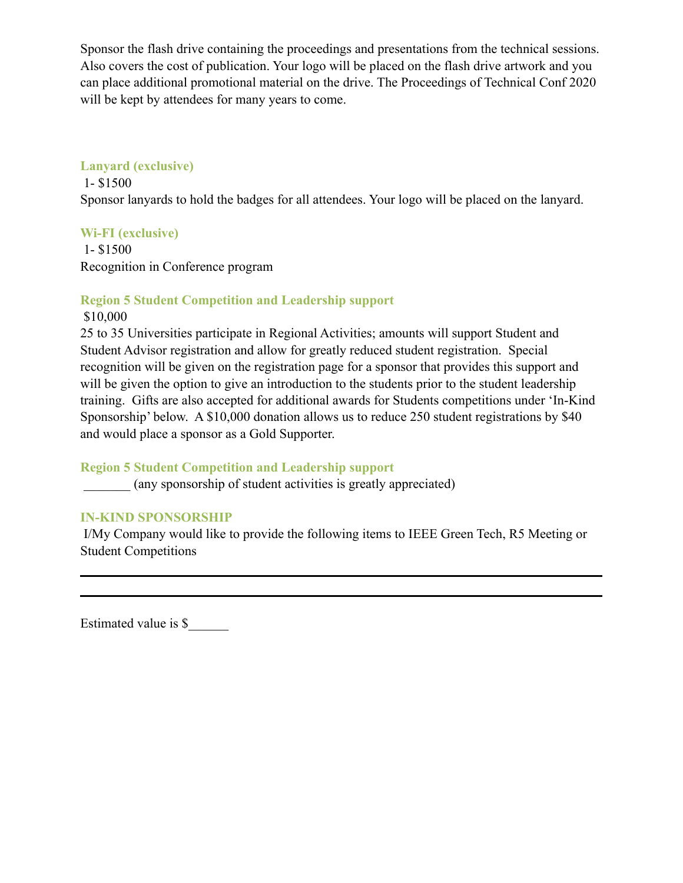Sponsor the flash drive containing the proceedings and presentations from the technical sessions. Also covers the cost of publication. Your logo will be placed on the flash drive artwork and you can place additional promotional material on the drive. The Proceedings of Technical Conf 2020 will be kept by attendees for many years to come.

#### **Lanyard (exclusive)**

 1- \$1500 Sponsor lanyards to hold the badges for all attendees. Your logo will be placed on the lanyard.

#### **Wi-FI (exclusive)**

 1- \$1500 Recognition in Conference program

#### **Region 5 Student Competition and Leadership support**

#### \$10,000

25 to 35 Universities participate in Regional Activities; amounts will support Student and Student Advisor registration and allow for greatly reduced student registration. Special recognition will be given on the registration page for a sponsor that provides this support and will be given the option to give an introduction to the students prior to the student leadership training. Gifts are also accepted for additional awards for Students competitions under 'In-Kind Sponsorship' below. A \$10,000 donation allows us to reduce 250 student registrations by \$40 and would place a sponsor as a Gold Supporter.

#### **Region 5 Student Competition and Leadership support**

\_\_\_\_\_\_\_ (any sponsorship of student activities is greatly appreciated)

#### **IN-KIND SPONSORSHIP**

 I/My Company would like to provide the following items to IEEE Green Tech, R5 Meeting or Student Competitions

Estimated value is \$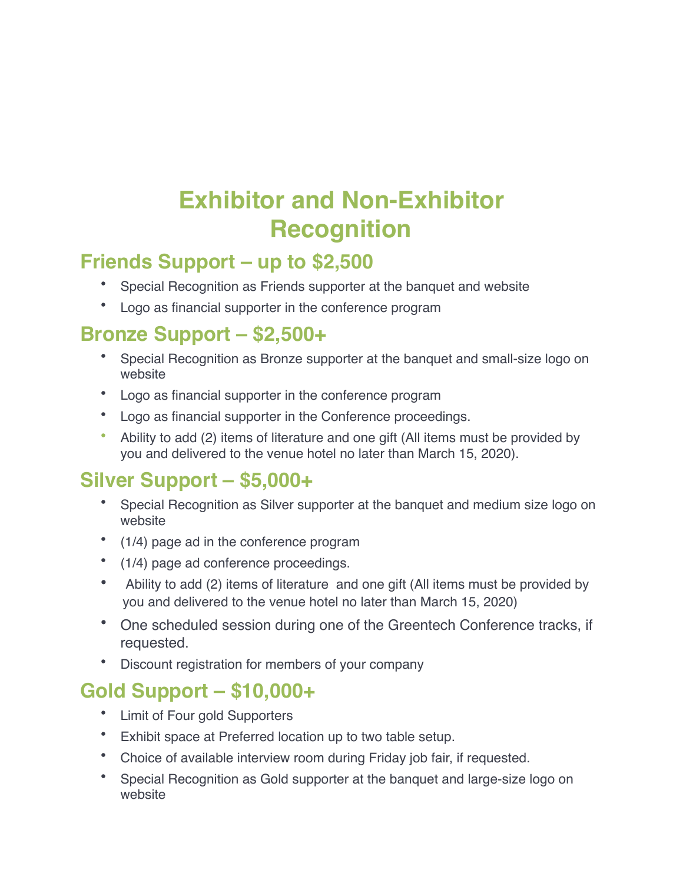# **Exhibitor and Non-Exhibitor Recognition**

## **Friends Support – up to \$2,500**

- Special Recognition as Friends supporter at the banquet and website
- Logo as financial supporter in the conference program

## **Bronze Support – \$2,500+**

- Special Recognition as Bronze supporter at the banquet and small-size logo on website
- Logo as financial supporter in the conference program
- Logo as financial supporter in the Conference proceedings.
- Ability to add (2) items of literature and one gift (All items must be provided by you and delivered to the venue hotel no later than March 15, 2020).

## **Silver Support – \$5,000+**

- Special Recognition as Silver supporter at the banquet and medium size logo on website
- (1/4) page ad in the conference program
- (1/4) page ad conference proceedings.
- Ability to add (2) items of literature and one gift (All items must be provided by you and delivered to the venue hotel no later than March 15, 2020)
- One scheduled session during one of the Greentech Conference tracks, if requested.
- Discount registration for members of your company

## **Gold Support – \$10,000+**

- Limit of Four gold Supporters
- Exhibit space at Preferred location up to two table setup.
- Choice of available interview room during Friday job fair, if requested.
- Special Recognition as Gold supporter at the banquet and large-size logo on website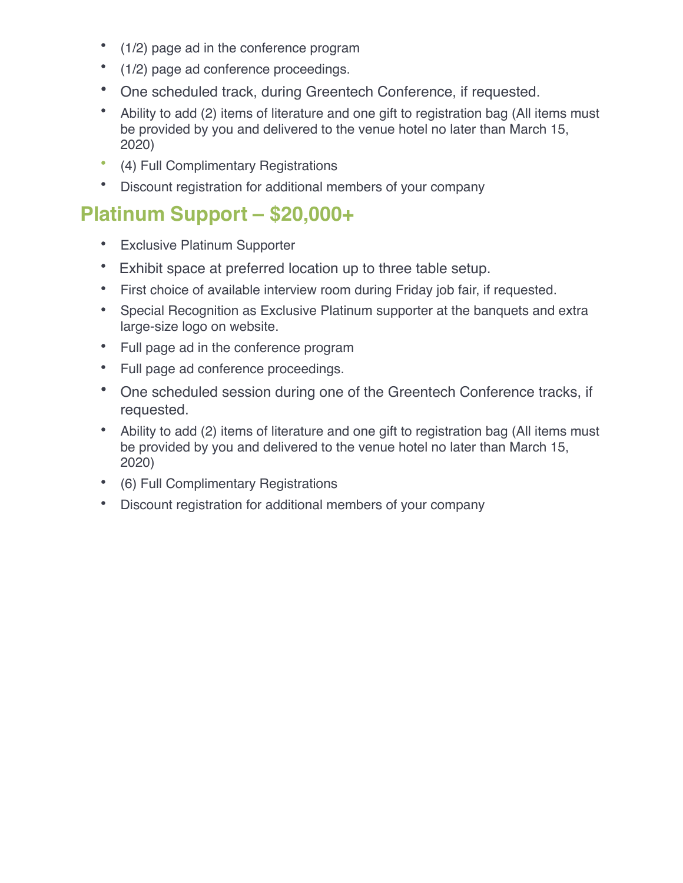- (1/2) page ad in the conference program
- (1/2) page ad conference proceedings.
- One scheduled track, during Greentech Conference, if requested.
- Ability to add (2) items of literature and one gift to registration bag (All items must be provided by you and delivered to the venue hotel no later than March 15, 2020)
- (4) Full Complimentary Registrations
- Discount registration for additional members of your company

## **Platinum Support – \$20,000+**

- Exclusive Platinum Supporter
- Exhibit space at preferred location up to three table setup.
- First choice of available interview room during Friday job fair, if requested.
- Special Recognition as Exclusive Platinum supporter at the banquets and extra large-size logo on website.
- Full page ad in the conference program
- Full page ad conference proceedings.
- One scheduled session during one of the Greentech Conference tracks, if requested.
- Ability to add (2) items of literature and one gift to registration bag (All items must be provided by you and delivered to the venue hotel no later than March 15, 2020)
- (6) Full Complimentary Registrations
- Discount registration for additional members of your company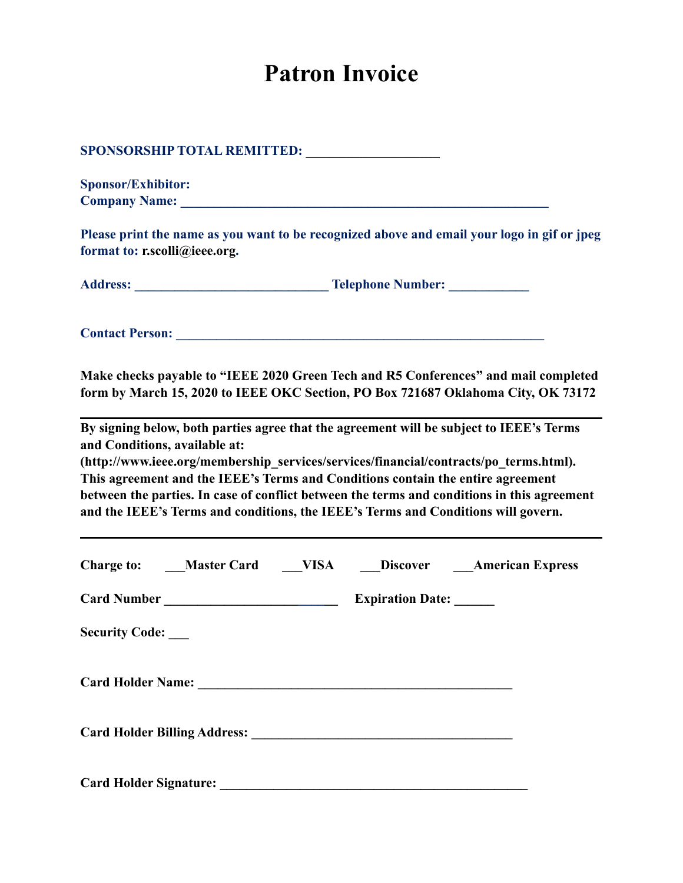# **Patron Invoice**

|                               | SPONSORSHIP TOTAL REMITTED: _________________                                                                                                                                                                                                                                                                                                                                                                                                           |  |  |  |
|-------------------------------|---------------------------------------------------------------------------------------------------------------------------------------------------------------------------------------------------------------------------------------------------------------------------------------------------------------------------------------------------------------------------------------------------------------------------------------------------------|--|--|--|
| <b>Sponsor/Exhibitor:</b>     |                                                                                                                                                                                                                                                                                                                                                                                                                                                         |  |  |  |
|                               |                                                                                                                                                                                                                                                                                                                                                                                                                                                         |  |  |  |
| format to: r.scolli@ieee.org. | Please print the name as you want to be recognized above and email your logo in gif or jpeg                                                                                                                                                                                                                                                                                                                                                             |  |  |  |
|                               |                                                                                                                                                                                                                                                                                                                                                                                                                                                         |  |  |  |
|                               |                                                                                                                                                                                                                                                                                                                                                                                                                                                         |  |  |  |
|                               | <b>Contact Person:</b> <u>Contact Person:</u>                                                                                                                                                                                                                                                                                                                                                                                                           |  |  |  |
|                               | Make checks payable to "IEEE 2020 Green Tech and R5 Conferences" and mail completed<br>form by March 15, 2020 to IEEE OKC Section, PO Box 721687 Oklahoma City, OK 73172                                                                                                                                                                                                                                                                                |  |  |  |
| and Conditions, available at: | By signing below, both parties agree that the agreement will be subject to IEEE's Terms<br>(http://www.ieee.org/membership services/services/financial/contracts/po terms.html).<br>This agreement and the IEEE's Terms and Conditions contain the entire agreement<br>between the parties. In case of conflict between the terms and conditions in this agreement<br>and the IEEE's Terms and conditions, the IEEE's Terms and Conditions will govern. |  |  |  |
|                               | Charge to: ___Master Card ___VISA ___Discover ___American Express                                                                                                                                                                                                                                                                                                                                                                                       |  |  |  |
|                               |                                                                                                                                                                                                                                                                                                                                                                                                                                                         |  |  |  |
| <b>Security Code:</b>         |                                                                                                                                                                                                                                                                                                                                                                                                                                                         |  |  |  |
|                               |                                                                                                                                                                                                                                                                                                                                                                                                                                                         |  |  |  |
|                               |                                                                                                                                                                                                                                                                                                                                                                                                                                                         |  |  |  |
| <b>Card Holder Signature:</b> |                                                                                                                                                                                                                                                                                                                                                                                                                                                         |  |  |  |